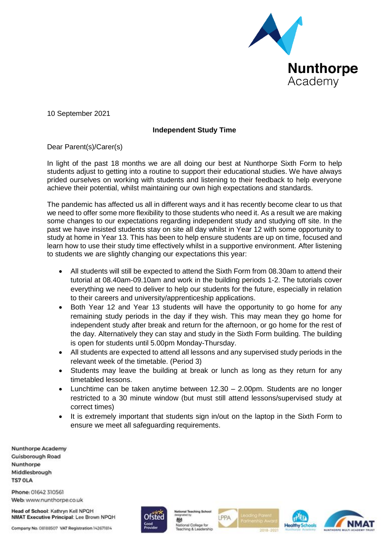

10 September 2021

## **Independent Study Time**

Dear Parent(s)/Carer(s)

In light of the past 18 months we are all doing our best at Nunthorpe Sixth Form to help students adjust to getting into a routine to support their educational studies. We have always prided ourselves on working with students and listening to their feedback to help everyone achieve their potential, whilst maintaining our own high expectations and standards.

The pandemic has affected us all in different ways and it has recently become clear to us that we need to offer some more flexibility to those students who need it. As a result we are making some changes to our expectations regarding independent study and studying off site. In the past we have insisted students stay on site all day whilst in Year 12 with some opportunity to study at home in Year 13. This has been to help ensure students are up on time, focused and learn how to use their study time effectively whilst in a supportive environment. After listening to students we are slightly changing our expectations this year:

- All students will still be expected to attend the Sixth Form from 08.30am to attend their tutorial at 08.40am-09.10am and work in the building periods 1-2. The tutorials cover everything we need to deliver to help our students for the future, especially in relation to their careers and university/apprenticeship applications.
- Both Year 12 and Year 13 students will have the opportunity to go home for any remaining study periods in the day if they wish. This may mean they go home for independent study after break and return for the afternoon, or go home for the rest of the day. Alternatively they can stay and study in the Sixth Form building. The building is open for students until 5.00pm Monday-Thursday.
- All students are expected to attend all lessons and any supervised study periods in the relevant week of the timetable. (Period 3)
- Students may leave the building at break or lunch as long as they return for any timetabled lessons.
- Lunchtime can be taken anytime between 12.30 2.00pm. Students are no longer restricted to a 30 minute window (but must still attend lessons/supervised study at correct times)
- It is extremely important that students sign in/out on the laptop in the Sixth Form to ensure we meet all safeguarding requirements.

**Nunthorpe Academy Cuisborough Road** Nunthorpe Middlesbrough **TS7 OLA** 

Phone: 01642 310561 Web: www.nunthorpe.co.uk

Head of School: Kathryn Kell NPQH NMAT Executive Principal: Lee Brown NPQH